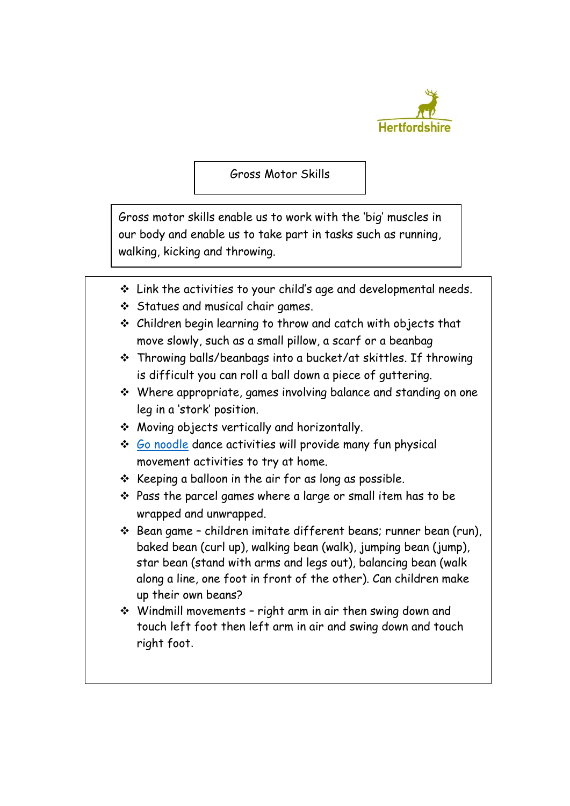

Gross Motor Skills

Gross motor skills enable us to work with the 'big' muscles in our body and enable us to take part in tasks such as running, walking, kicking and throwing.

- $\cdot$  Link the activities to your child's age and developmental needs.
- Statues and musical chair games.
- $\div$  Children begin learning to throw and catch with objects that move slowly, such as a small pillow, a scarf or a beanbag
- Throwing balls/beanbags into a bucket/at skittles. If throwing is difficult you can roll a ball down a piece of guttering.
- Where appropriate, games involving balance and standing on one leg in a 'stork' position.
- Moving objects vertically and horizontally.
- Go [noodle](https://www.gonoodle.com/) dance activities will provide many fun physical movement activities to try at home.
- $\div$  Keeping a balloon in the air for as long as possible.
- Pass the parcel games where a large or small item has to be wrapped and unwrapped.
- Bean game children imitate different beans; runner bean (run), baked bean (curl up), walking bean (walk), jumping bean (jump), star bean (stand with arms and legs out), balancing bean (walk along a line, one foot in front of the other). Can children make up their own beans?
- Windmill movements right arm in air then swing down and touch left foot then left arm in air and swing down and touch right foot.